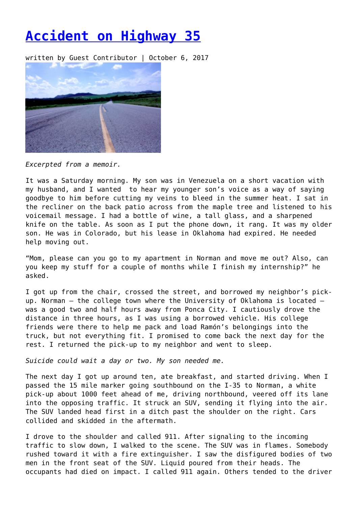## **[Accident on Highway 35](https://entropymag.org/accident-on-highway-35/)**

written by Guest Contributor | October 6, 2017



*Excerpted from a memoir.*

It was a Saturday morning. My son was in Venezuela on a short vacation with my husband, and I wanted to hear my younger son's voice as a way of saying goodbye to him before cutting my veins to bleed in the summer heat. I sat in the recliner on the back patio across from the maple tree and listened to his voicemail message. I had a bottle of wine, a tall glass, and a sharpened knife on the table. As soon as I put the phone down, it rang. It was my older son. He was in Colorado, but his lease in Oklahoma had expired. He needed help moving out.

"Mom, please can you go to my apartment in Norman and move me out? Also, can you keep my stuff for a couple of months while I finish my internship?" he asked.

I got up from the chair, crossed the street, and borrowed my neighbor's pickup. Norman – the college town where the University of Oklahoma is located – was a good two and half hours away from Ponca City. I cautiously drove the distance in three hours, as I was using a borrowed vehicle. His college friends were there to help me pack and load Ramón's belongings into the truck, but not everything fit. I promised to come back the next day for the rest. I returned the pick-up to my neighbor and went to sleep.

*Suicide could wait a day or two. My son needed me.*

The next day I got up around ten, ate breakfast, and started driving. When I passed the 15 mile marker going southbound on the I-35 to Norman, a white pick-up about 1000 feet ahead of me, driving northbound, veered off its lane into the opposing traffic. It struck an SUV, sending it flying into the air. The SUV landed head first in a ditch past the shoulder on the right. Cars collided and skidded in the aftermath.

I drove to the shoulder and called 911. After signaling to the incoming traffic to slow down, I walked to the scene. The SUV was in flames. Somebody rushed toward it with a fire extinguisher. I saw the disfigured bodies of two men in the front seat of the SUV. Liquid poured from their heads. The occupants had died on impact. I called 911 again. Others tended to the driver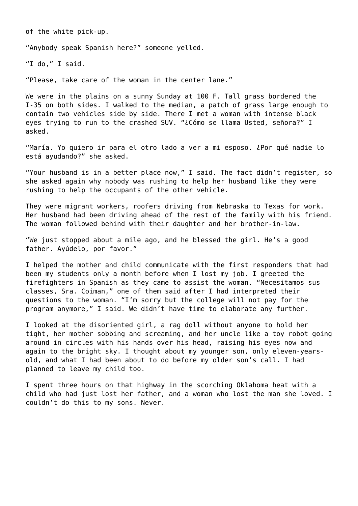of the white pick-up.

"Anybody speak Spanish here?" someone yelled.

"I do," I said.

"Please, take care of the woman in the center lane."

We were in the plains on a sunny Sunday at 100 F. Tall grass bordered the I-35 on both sides. I walked to the median, a patch of grass large enough to contain two vehicles side by side. There I met a woman with intense black eyes trying to run to the crashed SUV. "¿Cómo se llama Usted, señora?" I asked.

"María. Yo quiero ir para el otro lado a ver a mi esposo. ¿Por qué nadie lo está ayudando?" she asked.

"Your husband is in a better place now," I said. The fact didn't register, so she asked again why nobody was rushing to help her husband like they were rushing to help the occupants of the other vehicle.

They were migrant workers, roofers driving from Nebraska to Texas for work. Her husband had been driving ahead of the rest of the family with his friend. The woman followed behind with their daughter and her brother-in-law.

"We just stopped about a mile ago, and he blessed the girl. He's a good father. Ayúdelo, por favor."

I helped the mother and child communicate with the first responders that had been my students only a month before when I lost my job. I greeted the firefighters in Spanish as they came to assist the woman. "Necesitamos sus classes, Sra. Coiman," one of them said after I had interpreted their questions to the woman. "I'm sorry but the college will not pay for the program anymore," I said. We didn't have time to elaborate any further.

I looked at the disoriented girl, a rag doll without anyone to hold her tight, her mother sobbing and screaming, and her uncle like a toy robot going around in circles with his hands over his head, raising his eyes now and again to the bright sky. I thought about my younger son, only eleven-yearsold, and what I had been about to do before my older son's call. I had planned to leave my child too.

I spent three hours on that highway in the scorching Oklahoma heat with a child who had just lost her father, and a woman who lost the man she loved. I couldn't do this to my sons. Never.